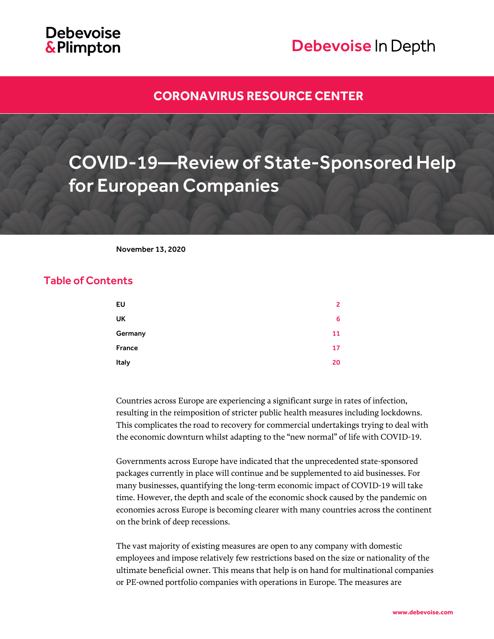

## Debevoise In Depth

## **[CORONAVIRUS RESOURCE CENTER](https://www.debevoise.com/topics/covid19checklist)**

# COVID-19—Review of State-Sponsored Help for European Companies

#### November 13, 2020

## Table of Contents

| EU      | $\overline{2}$ |
|---------|----------------|
| UK      | 6              |
| Germany | 11             |
| France  | 17             |
| Italy   | 20             |

Countries across Europe are experiencing a significant surge in rates of infection, resulting in the reimposition of stricter public health measures including lockdowns. This complicates the road to recovery for commercial undertakings trying to deal with the economic downturn whilst adapting to the "new normal" of life with COVID-19.

Governments across Europe have indicated that the unprecedented state-sponsored packages currently in place will continue and be supplemented to aid businesses. For many businesses, quantifying the long-term economic impact of COVID-19 will take time. However, the depth and scale of the economic shock caused by the pandemic on economies across Europe is becoming clearer with many countries across the continent on the brink of deep recessions.

The vast majority of existing measures are open to any company with domestic employees and impose relatively few restrictions based on the size or nationality of the ultimate beneficial owner. This means that help is on hand for multinational companies or PE-owned portfolio companies with operations in Europe. The measures are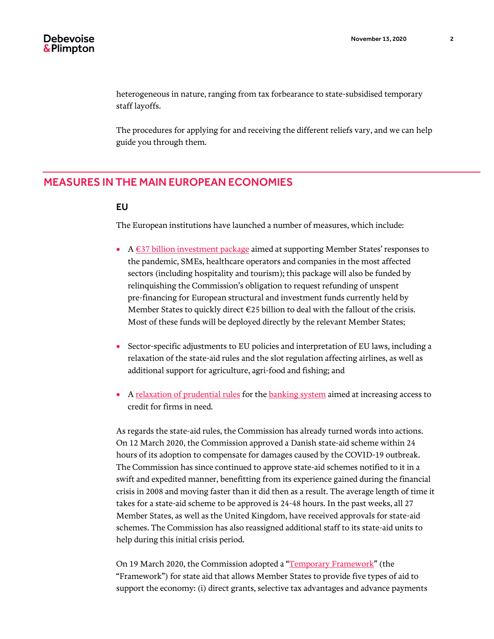heterogeneous in nature, ranging from tax forbearance to state-subsidised temporary staff layoffs.

The procedures for applying for and receiving the different reliefs vary, and we can help guide you through them.

## <span id="page-1-0"></span>MEASURES IN THE MAIN EUROPEAN ECONOMIES

#### EU

The European institutions have launched a number of measures, which include:

- A  $\epsilon$ 37 billion investment package aimed at supporting Member States' responses to the pandemic, SMEs, healthcare operators and companies in the most affected sectors (including hospitality and tourism); this package will also be funded by relinquishing the Commission's obligation to request refunding of unspent pre-financing for European structural and investment funds currently held by Member States to quickly direct €25 billion to deal with the fallout of the crisis. Most of these funds will be deployed directly by the relevant Member States;
- Sector-specific adjustments to EU policies and interpretation of EU laws, including a relaxation of the state-aid rules and the slot regulation affecting airlines, as well as additional support for agriculture, agri-food and fishing; and
- A [relaxation of prudential rules](https://eba.europa.eu/eba-statement-actions-mitigate-impact-covid-19-eu-banking-sector) for the [banking system](https://www.bankingsupervision.europa.eu/press/pr/date/2020/html/ssm.pr200312~43351ac3ac.en.html) aimed at increasing access to credit for firms in need.

As regards the state-aid rules, the Commission has already turned words into actions. On 12 March 2020, the Commission approved a Danish state-aid scheme within 24 hours of its adoption to compensate for damages caused by the COVID-19 outbreak. The Commission has since continued to approve state-aid schemes notified to it in a swift and expedited manner, benefitting from its experience gained during the financial crisis in 2008 and moving faster than it did then as a result. The average length of time it takes for a state-aid scheme to be approved is 24-48 hours. In the past weeks, all 27 Member States, as well as the United Kingdom, have received approvals for state-aid schemes. The Commission has also reassigned additional staff to its state-aid units to help during this initial crisis period.

On 19 March 2020, the Commission adopted a "[Temporary Framework](https://ec.europa.eu/commission/presscorner/detail/en/IP_20_496)" (the "Framework") for state aid that allows Member States to provide five types of aid to support the economy: (i) direct grants, selective tax advantages and advance payments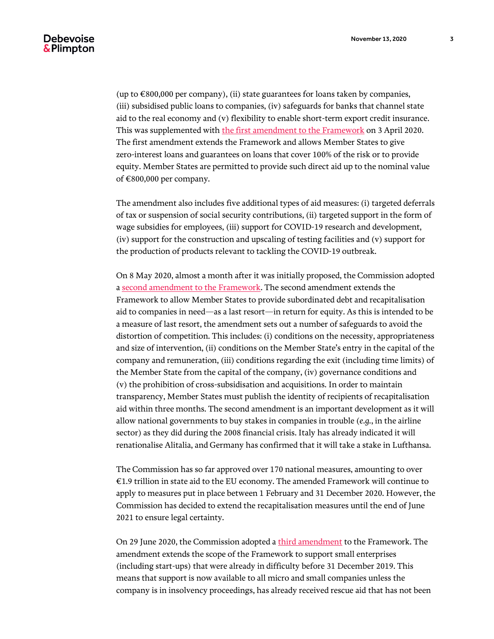(up to €800,000 per company), (ii) state guarantees for loans taken by companies, (iii) subsidised public loans to companies, (iv) safeguards for banks that channel state aid to the real economy and (v) flexibility to enable short-term export credit insurance. This was supplemented with [the first amendment to the Framework](https://ec.europa.eu/commission/presscorner/detail/en/ip_20_570) on 3 April 2020. The first amendment extends the Framework and allows Member States to give zero-interest loans and guarantees on loans that cover 100% of the risk or to provide equity. Member States are permitted to provide such direct aid up to the nominal value of €800,000 per company.

The amendment also includes five additional types of aid measures: (i) targeted deferrals of tax or suspension of social security contributions, (ii) targeted support in the form of wage subsidies for employees, (iii) support for COVID-19 research and development, (iv) support for the construction and upscaling of testing facilities and (v) support for the production of products relevant to tackling the COVID-19 outbreak.

On 8 May 2020, almost a month after it was initially proposed, the Commission adopted a [second amendment to the Framework.](https://ec.europa.eu/commission/presscorner/detail/en/ip_20_838) The second amendment extends the Framework to allow Member States to provide subordinated debt and recapitalisation aid to companies in need—as a last resort—in return for equity. As this is intended to be a measure of last resort, the amendment sets out a number of safeguards to avoid the distortion of competition. This includes: (i) conditions on the necessity, appropriateness and size of intervention, (ii) conditions on the Member State's entry in the capital of the company and remuneration, (iii) conditions regarding the exit (including time limits) of the Member State from the capital of the company, (iv) governance conditions and (v) the prohibition of cross-subsidisation and acquisitions. In order to maintain transparency, Member States must publish the identity of recipients of recapitalisation aid within three months. The second amendment is an important development as it will allow national governments to buy stakes in companies in trouble (*e.g.*, in the airline sector) as they did during the 2008 financial crisis. Italy has already indicated it will renationalise Alitalia, and Germany has confirmed that it will take a stake in Lufthansa.

The Commission has so far approved over 170 national measures, amounting to over €1.9 trillion in state aid to the EU economy. The amended Framework will continue to apply to measures put in place between 1 February and 31 December 2020. However, the Commission has decided to extend the recapitalisation measures until the end of June 2021 to ensure legal certainty.

On 29 June 2020, the Commission adopted [a third amendment](https://ec.europa.eu/commission/presscorner/detail/en/ip_20_1221) to the Framework. The amendment extends the scope of the Framework to support small enterprises (including start-ups) that were already in difficulty before 31 December 2019. This means that support is now available to all micro and small companies unless the company is in insolvency proceedings, has already received rescue aid that has not been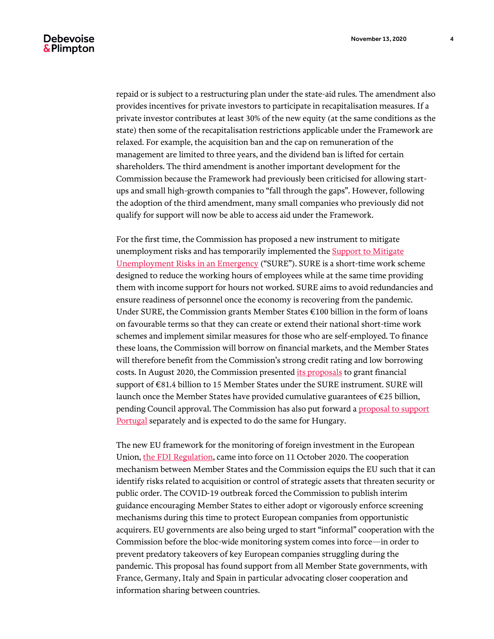repaid or is subject to a restructuring plan under the state-aid rules. The amendment also provides incentives for private investors to participate in recapitalisation measures. If a private investor contributes at least 30% of the new equity (at the same conditions as the state) then some of the recapitalisation restrictions applicable under the Framework are relaxed. For example, the acquisition ban and the cap on remuneration of the management are limited to three years, and the dividend ban is lifted for certain shareholders. The third amendment is another important development for the Commission because the Framework had previously been criticised for allowing startups and small high-growth companies to "fall through the gaps". However, following the adoption of the third amendment, many small companies who previously did not qualify for support will now be able to access aid under the Framework.

For the first time, the Commission has proposed a new instrument to mitigate unemployment risks and has temporarily implemented the Support to Mitigate [Unemployment Risks in an Emergency](https://ec.europa.eu/info/business-economy-euro/economic-and-fiscal-policy-coordination/eu-financial-assistance/loan-programmes/sure_en) ("SURE"). SURE is a short-time work scheme designed to reduce the working hours of employees while at the same time providing them with income support for hours not worked. SURE aims to avoid redundancies and ensure readiness of personnel once the economy is recovering from the pandemic. Under SURE, the Commission grants Member States €100 billion in the form of loans on favourable terms so that they can create or extend their national short-time work schemes and implement similar measures for those who are self-employed. To finance these loans, the Commission will borrow on financial markets, and the Member States will therefore benefit from the Commission's strong credit rating and low borrowing costs. In August 2020, the Commission presented [its proposals](https://ec.europa.eu/commission/presscorner/detail/en/ip_20_1496) to grant financial support of €81.4 billion to 15 Member States under the SURE instrument. SURE will launch once the Member States have provided cumulative guarantees of  $\epsilon$ 25 billion, pending Council approval. The Commission has also put forward [a proposal to support](https://ec.europa.eu/commission/presscorner/detail/en/mex_20_1520)  [Portugal](https://ec.europa.eu/commission/presscorner/detail/en/mex_20_1520) separately and is expected to do the same for Hungary.

The new EU framework for the monitoring of foreign investment in the European Union, [the FDI Regulation,](https://eur-lex.europa.eu/legal-content/EN/TXT/PDF/?uri=CELEX:32019R0452&from=EN) came into force on 11 October 2020. The cooperation mechanism between Member States and the Commission equips the EU such that it can identify risks related to acquisition or control of strategic assets that threaten security or public order. The COVID-19 outbreak forced the Commission to publish interim guidance encouraging Member States to either adopt or vigorously enforce screening mechanisms during this time to protect European companies from opportunistic acquirers. EU governments are also being urged to start "informal" cooperation with the Commission before the bloc-wide monitoring system comes into force—in order to prevent predatory takeovers of key European companies struggling during the pandemic. This proposal has found support from all Member State governments, with France, Germany, Italy and Spain in particular advocating closer cooperation and information sharing between countries.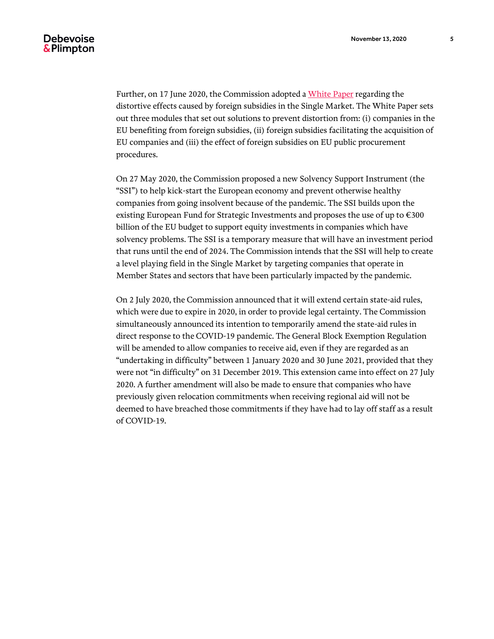Further, on 17 June 2020, the Commission adopted a [White Paper](https://ec.europa.eu/competition/international/overview/foreign_subsidies_white_paper.pdf) regarding the distortive effects caused by foreign subsidies in the Single Market. The White Paper sets out three modules that set out solutions to prevent distortion from: (i) companies in the EU benefiting from foreign subsidies, (ii) foreign subsidies facilitating the acquisition of EU companies and (iii) the effect of foreign subsidies on EU public procurement procedures.

On 27 May 2020, the Commission proposed a new Solvency Support Instrument (the "SSI") to help kick-start the European economy and prevent otherwise healthy companies from going insolvent because of the pandemic. The SSI builds upon the existing European Fund for Strategic Investments and proposes the use of up to  $\epsilon$ 300 billion of the EU budget to support equity investments in companies which have solvency problems. The SSI is a temporary measure that will have an investment period that runs until the end of 2024. The Commission intends that the SSI will help to create a level playing field in the Single Market by targeting companies that operate in Member States and sectors that have been particularly impacted by the pandemic.

On 2 July 2020, the Commission announced that it will extend certain state-aid rules, which were due to expire in 2020, in order to provide legal certainty. The Commission simultaneously announced its intention to temporarily amend the state-aid rules in direct response to the COVID-19 pandemic. The General Block Exemption Regulation will be amended to allow companies to receive aid, even if they are regarded as an "undertaking in difficulty" between 1 January 2020 and 30 June 2021, provided that they were not "in difficulty" on 31 December 2019. This extension came into effect on 27 July 2020. A further amendment will also be made to ensure that companies who have previously given relocation commitments when receiving regional aid will not be deemed to have breached those commitments if they have had to lay off staff as a result of COVID-19.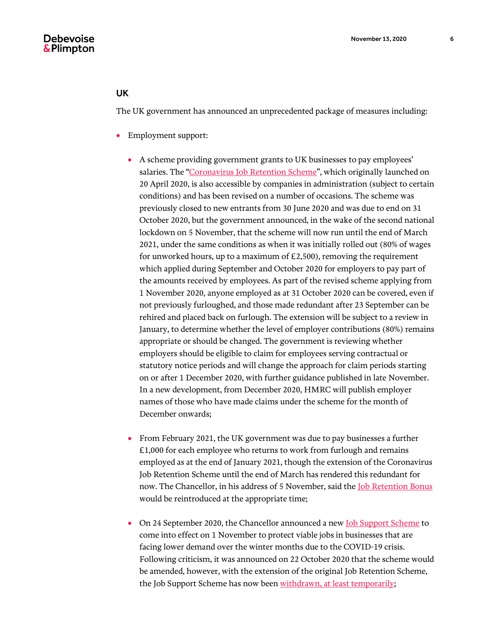#### <span id="page-5-0"></span>UK

The UK government has announced an unprecedented package of measures including:

- Employment support:
	- A scheme providing government grants to UK businesses to pay employees' salaries. The "[Coronavirus Job Retention Scheme](https://www.gov.uk/guidance/claim-for-wage-costs-through-the-coronavirus-job-retention-scheme)", which originally launched on 20 April 2020, is also accessible by companies in administration (subject to certain conditions) and has been revised on a number of occasions. The scheme was previously closed to new entrants from 30 June 2020 and was due to end on 31 October 2020, but the government announced, in the wake of the second national lockdown on 5 November, that the scheme will now run until the end of March 2021, under the same conditions as when it was initially rolled out (80% of wages for unworked hours, up to a maximum of  $£2,500$ ), removing the requirement which applied during September and October 2020 for employers to pay part of the amounts received by employees. As part of the revised scheme applying from 1 November 2020, anyone employed as at 31 October 2020 can be covered, even if not previously furloughed, and those made redundant after 23 September can be rehired and placed back on furlough. The extension will be subject to a review in January, to determine whether the level of employer contributions (80%) remains appropriate or should be changed. The government is reviewing whether employers should be eligible to claim for employees serving contractual or statutory notice periods and will change the approach for claim periods starting on or after 1 December 2020, with further guidance published in late November. In a new development, from December 2020, HMRC will publish employer names of those who have made claims under the scheme for the month of December onwards;
	- From February 2021, the UK government was due to pay businesses a further £1,000 for each employee who returns to work from furlough and remains employed as at the end of January 2021, though the extension of the Coronavirus Job Retention Scheme until the end of March has rendered this redundant for now. The Chancellor, in his address of 5 November, said the Job Retention Bonus would be reintroduced at the appropriate time;
	- On 24 September 2020, the Chancellor announced a new **Job Support Scheme** to come into effect on 1 November to protect viable jobs in businesses that are facing lower demand over the winter months due to the COVID-19 crisis. Following criticism, it was announced on 22 October 2020 that the scheme would be amended, however, with the extension of the original Job Retention Scheme, the Job Support Scheme has now been [withdrawn, at least temporarily;](https://www.gov.uk/guidance/check-if-you-can-claim-the-job-support-scheme)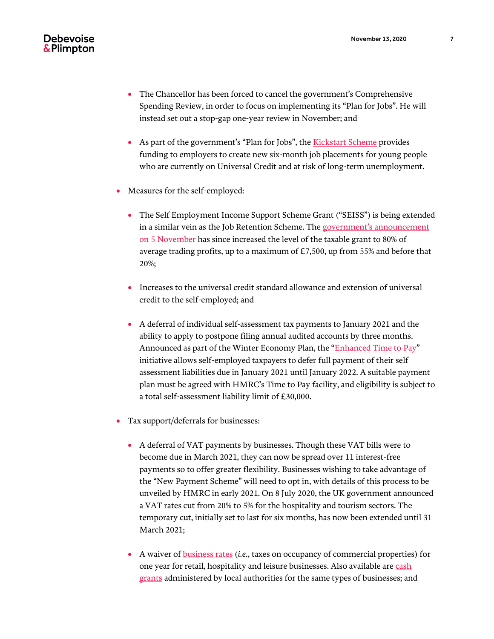

- The Chancellor has been forced to cancel the government's Comprehensive Spending Review, in order to focus on implementing its "Plan for Jobs". He will instead set out a stop-gap one-year review in November; and
- As part of the government's "Plan for Jobs", the **[Kickstart Scheme](https://www.gov.uk/government/collections/kickstart-scheme)** provides funding to employers to create new six-month job placements for young people who are currently on Universal Credit and at risk of long-term unemployment.
- Measures for the self-employed:
	- The Self Employment Income Support Scheme Grant ("SEISS") is being extended in a similar vein as the Job Retention Scheme. The [government's announcement](https://www.gov.uk/government/news/government-extends-furlough-to-march-and-increases-self-employed-support)  [on 5 November](https://www.gov.uk/government/news/government-extends-furlough-to-march-and-increases-self-employed-support) has since increased the level of the taxable grant to 80% of average trading profits, up to a maximum of £7,500, up from 55% and before that 20%;
	- Increases to the universal credit standard allowance and extension of universal credit to the self-employed; and
	- A deferral of individual self-assessment tax payments to January 2021 and the ability to apply to postpone filing annual audited accounts by three months. Announced as part of the Winter Economy Plan, the "[Enhanced Time to Pay](https://www.gov.uk/government/news/self-assessment-customers-to-benefit-from-enhanced-payment-plans)" initiative allows self-employed taxpayers to defer full payment of their self assessment liabilities due in January 2021 until January 2022. A suitable payment plan must be agreed with HMRC's Time to Pay facility, and eligibility is subject to a total self-assessment liability limit of £30,000.
- Tax support/deferrals for businesses:
	- A deferral of VAT payments by businesses. Though these VAT bills were to become due in March 2021, they can now be spread over 11 interest-free payments so to offer greater flexibility. Businesses wishing to take advantage of the "New Payment Scheme" will need to opt in, with details of this process to be unveiled by HMRC in early 2021. On 8 July 2020, the UK government announced a VAT rates cut from 20% to 5% for the hospitality and tourism sectors. The temporary cut, initially set to last for six months, has now been extended until 31 March 2021;
	- A waiver o[f business rates](https://www.gov.uk/government/publications/guidance-to-employers-and-businesses-about-covid-19/covid-19-support-for-businesses) (*i.e.*, taxes on occupancy of commercial properties) for one year for retail, hospitality and leisure businesses. Also available are cash [grants](https://www.gov.uk/government/publications/coronavirus-covid-19-business-support-grant-funding-guidance-for-businesses) administered by local authorities for the same types of businesses; and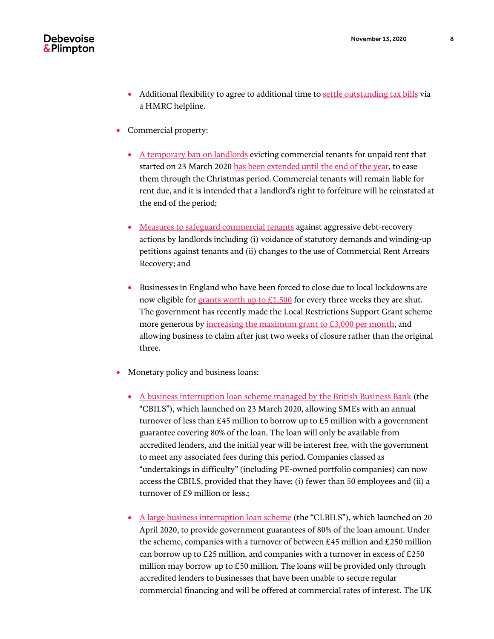

- Additional flexibility to agree to additional time to [settle outstanding tax bills](https://www.gov.uk/government/news/tax-helpline-to-support-businesses-affected-by-coronavirus-covid-19) via a HMRC helpline.
- Commercial property:
	- [A temporary ban on landlords](https://www.gov.uk/government/news/government-provides-further-halt-to-business-evictions-and-more-support-for-high-street-firms) evicting commercial tenants for unpaid rent that started on 23 March 202[0 has been extended until the end of the year,](https://www.gov.uk/government/news/government-extends-support-to-stop-business-evictions-this-year) to ease them through the Christmas period. Commercial tenants will remain liable for rent due, and it is intended that a landlord's right to forfeiture will be reinstated at the end of the period;
	- [Measures to safeguard commercial tenants](https://www.gov.uk/government/news/new-measures-to-protect-uk-high-street-from-aggressive-rent-collection-and-closure) against aggressive debt-recovery actions by landlords including (i) voidance of statutory demands and winding-up petitions against tenants and (ii) changes to the use of Commercial Rent Arrears Recovery; and
	- Businesses in England who have been forced to close due to local lockdowns are now eligible for grants worth up to  $£1,500$  for every three weeks they are shut. The government has recently made the Local Restrictions Support Grant scheme more generous b[y increasing the maximum grant to £3,000 per month,](https://www.gov.uk/government/news/job-support-scheme-expanded-to-firms-required-to-close-due-to-covid-restrictions) and allowing business to claim after just two weeks of closure rather than the original three.
- Monetary policy and business loans:
	- [A business interruption loan scheme managed by the British Business Bank](https://www.british-business-bank.co.uk/ourpartners/coronavirus-business-interruption-loan-scheme-cbils/) (the "CBILS"), which launched on 23 March 2020, allowing SMEs with an annual turnover of less than  $£45$  million to borrow up to  $£5$  million with a government guarantee covering 80% of the loan. The loan will only be available from accredited lenders, and the initial year will be interest free, with the government to meet any associated fees during this period. Companies classed as "undertakings in difficulty" (including PE-owned portfolio companies) can now access the CBILS, provided that they have: (i) fewer than 50 employees and (ii) a turnover of £9 million or less.;
	- [A large business interruption loan scheme](https://www.british-business-bank.co.uk/ourpartners/coronavirus-business-interruption-loan-schemes/clbils/) (the "CLBILS"), which launched on 20 April 2020, to provide government guarantees of 80% of the loan amount. Under the scheme, companies with a turnover of between £45 million and £250 million can borrow up to £25 million, and companies with a turnover in excess of  $£250$ million may borrow up to £50 million. The loans will be provided only through accredited lenders to businesses that have been unable to secure regular commercial financing and will be offered at commercial rates of interest. The UK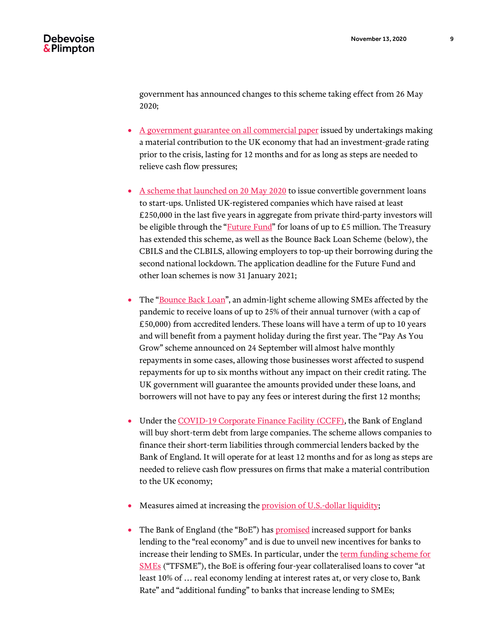government has announced changes to this scheme taking effect from 26 May 2020;

- [A government guarantee on all commercial paper](https://www.bankofengland.co.uk/news/2020/march/hmt-and-boe-launch-a-covid-corporate-financing-facility) issued by undertakings making a material contribution to the UK economy that had an investment-grade rating prior to the crisis, lasting for 12 months and for as long as steps are needed to relieve cash flow pressures;
- A scheme that [launched on 20 May 2020](https://www.british-business-bank.co.uk/ourpartners/coronavirus-business-interruption-loan-schemes/future-fund/) to issue convertible government loans to start-ups. Unlisted UK-registered companies which have raised at least £250,000 in the last five years in aggregate from private third-party investors will be eligible through the "[Future Fund](https://www.gov.uk/guidance/future-fund)" for loans of up to £5 million. The Treasury has extended this scheme, as well as the Bounce Back Loan Scheme (below), the CBILS and the CLBILS, allowing employers to top-up their borrowing during the second national lockdown. The application deadline for the Future Fund and other loan schemes is now 31 January 2021;
- The "[Bounce Back Loan](https://www.gov.uk/guidance/apply-for-a-coronavirus-bounce-back-loan)", an admin-light scheme allowing SMEs affected by the pandemic to receive loans of up to 25% of their annual turnover (with a cap of £50,000) from accredited lenders. These loans will have a term of up to 10 years and will benefit from a payment holiday during the first year. The "Pay As You Grow" scheme announced on 24 September will almost halve monthly repayments in some cases, allowing those businesses worst affected to suspend repayments for up to six months without any impact on their credit rating. The UK government will guarantee the amounts provided under these loans, and borrowers will not have to pay any fees or interest during the first 12 months;
- Under th[e COVID-19 Corporate Finance Facility \(CCFF\),](https://www.gov.uk/guidance/apply-for-the-covid-19-corporate-financing-facility) the Bank of England will buy short-term debt from large companies. The scheme allows companies to finance their short-term liabilities through commercial lenders backed by the Bank of England. It will operate for at least 12 months and for as long as steps are needed to relieve cash flow pressures on firms that make a material contribution to the UK economy;
- Measures aimed at increasing th[e provision of U.S.-dollar liquidity;](https://www.bankofengland.co.uk/markets/market-notices/2020/further-enhancements-to-the-provision-of-us-dollar-repo-operations-market-notice-march-2020)
- The Bank of England (the "BoE") has [promised](https://www.bankofengland.co.uk/markets/market-notices/2020/term-funding-scheme-market-notice-mar-2020) increased support for banks lending to the "real economy" and is due to unveil new incentives for banks to increase their lending to SMEs. In particular, under the term funding scheme for [SMEs](https://www.bankofengland.co.uk/markets/market-notices/2020/term-funding-scheme-market-notice-mar-2020) ("TFSME"), the BoE is offering four-year collateralised loans to cover "at least 10% of … real economy lending at interest rates at, or very close to, Bank Rate" and "additional funding" to banks that increase lending to SMEs;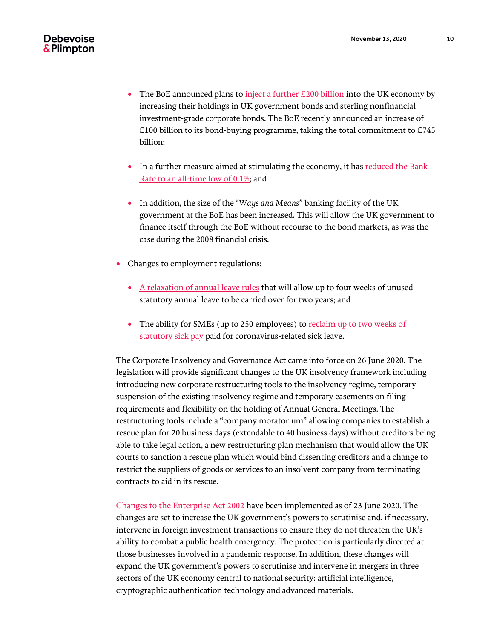- The BoE announced plans to inject a further  $E200$  billion into the UK economy by increasing their holdings in UK government bonds and sterling nonfinancial investment-grade corporate bonds. The BoE recently announced an increase of £100 billion to its bond-buying programme, taking the total commitment to £745 billion;
- In a further measure aimed at stimulating the economy, it has reduced the Bank [Rate to an all-time low of 0.1%;](https://www.bankofengland.co.uk/monetary-policy-summary-and-minutes/2020/monetary-policy-summary-for-the-special-monetary-policy-committee-meeting-on-19-march-2020) and
- In addition, the size of the "*Ways and Means*" banking facility of the UK government at the BoE has been increased. This will allow the UK government to finance itself through the BoE without recourse to the bond markets, as was the case during the 2008 financial crisis.
- Changes to employment regulations:
	- [A relaxation of annual leave rules](https://www.gov.uk/government/news/rules-on-carrying-over-annual-leave-to-be-relaxed-to-support-key-industries-during-covid-19) that will allow up to four weeks of unused statutory annual leave to be carried over for two years; and
	- The ability for SMEs (up to 250 employees) to reclaim up to two weeks of [statutory sick pay](https://www.gov.uk/government/publications/guidance-to-employers-and-businesses-about-covid-19/covid-19-support-for-businesses) paid for coronavirus-related sick leave.

The Corporate Insolvency and Governance Act came into force on 26 June 2020. The legislation will provide significant changes to the UK insolvency framework including introducing new corporate restructuring tools to the insolvency regime, temporary suspension of the existing insolvency regime and temporary easements on filing requirements and flexibility on the holding of Annual General Meetings. The restructuring tools include a "company moratorium" allowing companies to establish a rescue plan for 20 business days (extendable to 40 business days) without creditors being able to take legal action, a new restructuring plan mechanism that would allow the UK courts to sanction a rescue plan which would bind dissenting creditors and a change to restrict the suppliers of goods or services to an insolvent company from terminating contracts to aid in its rescue.

[Changes to the Enterprise Act 2002](https://www.gov.uk/government/news/new-protections-for-uk-businesses-key-to-national-security-and-fight-against-coronavirus) have been implemented as of 23 June 2020. The changes are set to increase the UK government's powers to scrutinise and, if necessary, intervene in foreign investment transactions to ensure they do not threaten the UK's ability to combat a public health emergency. The protection is particularly directed at those businesses involved in a pandemic response. In addition, these changes will expand the UK government's powers to scrutinise and intervene in mergers in three sectors of the UK economy central to national security: artificial intelligence, cryptographic authentication technology and advanced materials.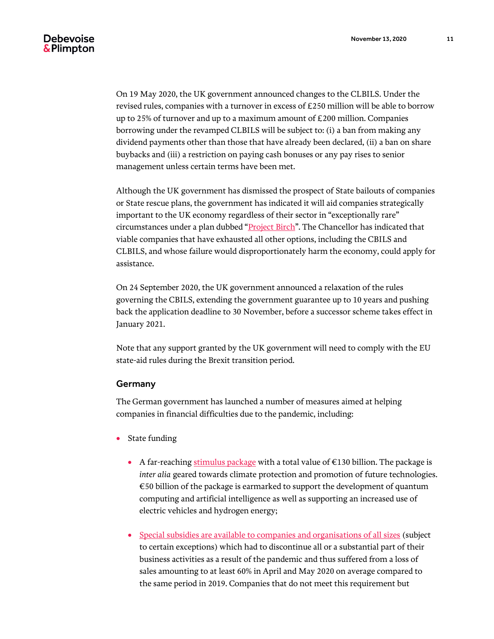On 19 May 2020, the UK government announced changes to the CLBILS. Under the revised rules, companies with a turnover in excess of £250 million will be able to borrow up to 25% of turnover and up to a maximum amount of £200 million. Companies borrowing under the revamped CLBILS will be subject to: (i) a ban from making any dividend payments other than those that have already been declared, (ii) a ban on share buybacks and (iii) a restriction on paying cash bonuses or any pay rises to senior management unless certain terms have been met.

Although the UK government has dismissed the prospect of State bailouts of companies or State rescue plans, the government has indicated it will aid companies strategically important to the UK economy regardless of their sector in "exceptionally rare" circumstances under a plan dubbed "[Project Birch](https://www.ft.com/content/02167d6b-a42e-44e4-a1d0-97a18794371e)". The Chancellor has indicated that viable companies that have exhausted all other options, including the CBILS and CLBILS, and whose failure would disproportionately harm the economy, could apply for assistance.

On 24 September 2020, the UK government announced a relaxation of the rules governing the CBILS, extending the government guarantee up to 10 years and pushing back the application deadline to 30 November, before a successor scheme takes effect in January 2021.

Note that any support granted by the UK government will need to comply with the EU state-aid rules during the Brexit transition period.

#### <span id="page-10-0"></span>Germany

The German government has launched a number of measures aimed at helping companies in financial difficulties due to the pandemic, including:

- State funding
	- A far-reaching [stimulus package](https://www.bundesregierung.de/breg-en/news/corona-steuerhilfegesetz-1760128) with a total value of  $\epsilon$ 130 billion. The package is *inter alia* geared towards climate protection and promotion of future technologies. €50 billion of the package is earmarked to support the development of quantum computing and artificial intelligence as well as supporting an increased use of electric vehicles and hydrogen energy;
	- [Special subsidies are available to companies and organisations of all sizes](https://www.bmwi.de/Redaktion/EN/Downloads/P/package-of-measures-to-combat-the-impact-of-coronavirus-on-companies.pdf?__blob=publicationFile&v=6) (subject to certain exceptions) which had to discontinue all or a substantial part of their business activities as a result of the pandemic and thus suffered from a loss of sales amounting to at least 60% in April and May 2020 on average compared to the same period in 2019. Companies that do not meet this requirement but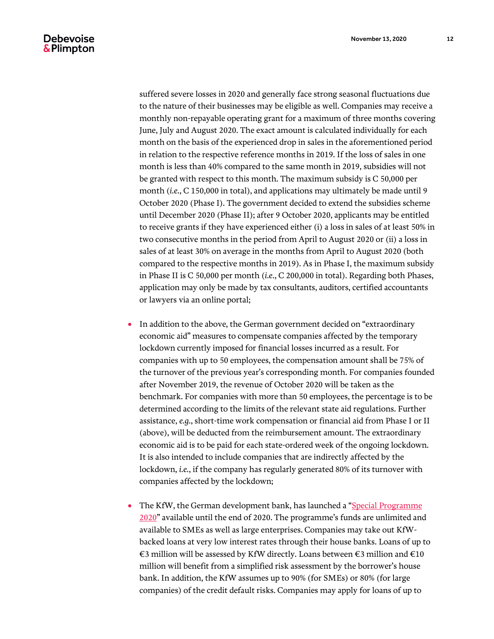suffered severe losses in 2020 and generally face strong seasonal fluctuations due to the nature of their businesses may be eligible as well. Companies may receive a monthly non-repayable operating grant for a maximum of three months covering June, July and August 2020. The exact amount is calculated individually for each month on the basis of the experienced drop in sales in the aforementioned period in relation to the respective reference months in 2019. If the loss of sales in one month is less than 40% compared to the same month in 2019, subsidies will not be granted with respect to this month. The maximum subsidy is C 50,000 per month (*i.e.*, C 150,000 in total), and applications may ultimately be made until 9 October 2020 (Phase I). The government decided to extend the subsidies scheme until December 2020 (Phase II); after 9 October 2020, applicants may be entitled to receive grants if they have experienced either (i) a loss in sales of at least 50% in two consecutive months in the period from April to August 2020 or (ii) a loss in sales of at least 30% on average in the months from April to August 2020 (both compared to the respective months in 2019). As in Phase I, the maximum subsidy in Phase II is C 50,000 per month (*i.e.*, C 200,000 in total). Regarding both Phases, application may only be made by tax consultants, auditors, certified accountants or lawyers via an online portal;

- In addition to the above, the German government decided on "extraordinary economic aid" measures to compensate companies affected by the temporary lockdown currently imposed for financial losses incurred as a result. For companies with up to 50 employees, the compensation amount shall be 75% of the turnover of the previous year's corresponding month. For companies founded after November 2019, the revenue of October 2020 will be taken as the benchmark. For companies with more than 50 employees, the percentage is to be determined according to the limits of the relevant state aid regulations. Further assistance, *e.g.*, short-time work compensation or financial aid from Phase I or II (above), will be deducted from the reimbursement amount. The extraordinary economic aid is to be paid for each state-ordered week of the ongoing lockdown. It is also intended to include companies that are indirectly affected by the lockdown, *i.e.*, if the company has regularly generated 80% of its turnover with companies affected by the lockdown;
- The KfW, the German development bank, has launched a "Special Programme" [2020](https://www.kfw.de/inlandsfoerderung/Companies/KfW-Corona-Hilfe/)" available until the end of 2020. The programme's funds are unlimited and available to SMEs as well as large enterprises. Companies may take out KfWbacked loans at very low interest rates through their house banks. Loans of up to €3 million will be assessed by KfW directly. Loans between €3 million and €10 million will benefit from a simplified risk assessment by the borrower's house bank. In addition, the KfW assumes up to 90% (for SMEs) or 80% (for large companies) of the credit default risks. Companies may apply for loans of up to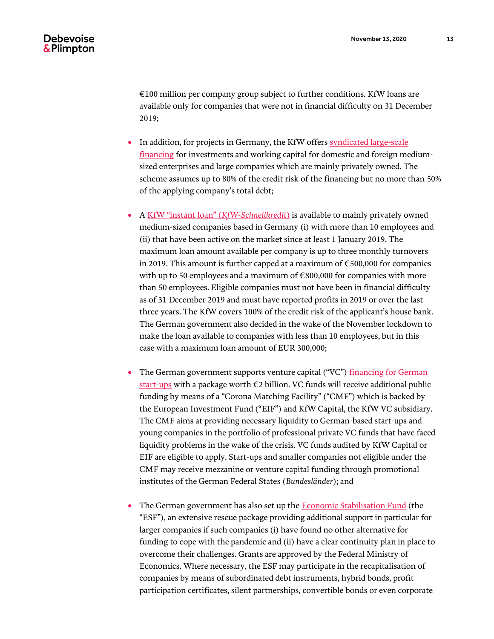$€100$  million per company group subject to further conditions. KfW loans are available only for companies that were not in financial difficulty on 31 December 2019;

- In addition, for projects in Germany, the KfW offers syndicated large-scale financing for investments and working capital for domestic and foreign mediumsized enterprises and large companies which are mainly privately owned. The scheme assumes up to 80% of the credit risk of the financing but no more than 50% of the applying company's total debt;
- A KfW "instant loan" (*KfW-Schnellkredit*) is available to mainly privately owned medium-sized companies based in Germany (i) with more than 10 employees and (ii) that have been active on the market since at least 1 January 2019. The maximum loan amount available per company is up to three monthly turnovers in 2019. This amount is further capped at a maximum of  $\epsilon$  500,000 for companies with up to 50 employees and a maximum of €800,000 for companies with more than 50 employees. Eligible companies must not have been in financial difficulty as of 31 December 2019 and must have reported profits in 2019 or over the last three years. The KfW covers 100% of the credit risk of the applicant's house bank. The German government also decided in the wake of the November lockdown to make the loan available to companies with less than 10 employees, but in this case with a maximum loan amount of EUR 300,000;
- The German government supports venture capital ("VC") financing for German [start-ups](https://www.bmwi.de/Redaktion/EN/Pressemitteilungen/2020/20200430-euro-2-billion-package-of-measures-for-start-ups-finalised.html) with a package worth  $\epsilon$ 2 billion. VC funds will receive additional public funding by means of a "Corona Matching Facility" ("CMF") which is backed by the European Investment Fund ("EIF") and KfW Capital, the KfW VC subsidiary. The CMF aims at providing necessary liquidity to German-based start-ups and young companies in the portfolio of professional private VC funds that have faced liquidity problems in the wake of the crisis. VC funds audited by KfW Capital or EIF are eligible to apply. Start-ups and smaller companies not eligible under the CMF may receive mezzanine or venture capital funding through promotional institutes of the German Federal States (*Bundesländer*); and
- The German government has also set up the **Economic Stabilisation Fund** (the "ESF"), an extensive rescue package providing additional support in particular for larger companies if such companies (i) have found no other alternative for funding to cope with the pandemic and (ii) have a clear continuity plan in place to overcome their challenges. Grants are approved by the Federal Ministry of Economics. Where necessary, the ESF may participate in the recapitalisation of companies by means of subordinated debt instruments, hybrid bonds, profit participation certificates, silent partnerships, convertible bonds or even corporate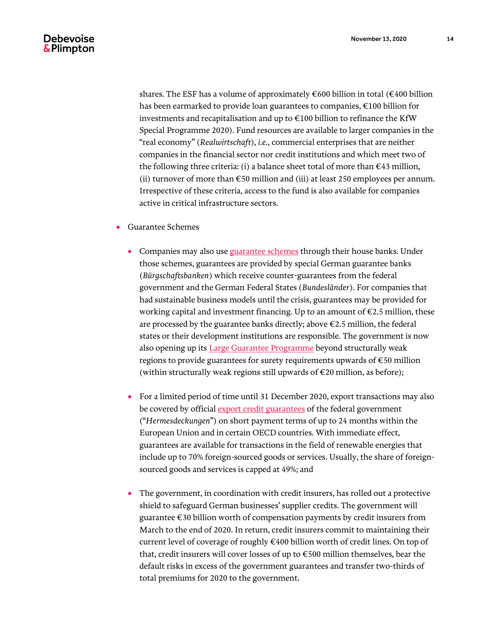## **Debevoise** & Plimpton

shares. The ESF has a volume of approximately  $\epsilon$ 600 billion in total ( $\epsilon$ 400 billion has been earmarked to provide loan guarantees to companies, €100 billion for investments and recapitalisation and up to €100 billion to refinance the KfW Special Programme 2020). Fund resources are available to larger companies in the "real economy" (*Realwirtschaft*), *i.e.*, commercial enterprises that are neither companies in the financial sector nor credit institutions and which meet two of the following three criteria: (i) a balance sheet total of more than  $€43$  million, (ii) turnover of more than  $\epsilon$ 50 million and (iii) at least 250 employees per annum. Irrespective of these criteria, access to the fund is also available for companies active in critical infrastructure sectors.

- Guarantee Schemes
	- Companies may also use guarantee schemes through their house banks. Under those schemes, guarantees are provided by special German guarantee banks (*Bürgschaftsbanken*) which receive counter-guarantees from the federal government and the German Federal States (*Bundesländer*). For companies that had sustainable business models until the crisis, guarantees may be provided for working capital and investment financing. Up to an amount of  $\epsilon$ 2.5 million, these are processed by the guarantee banks directly; above €2.5 million, the federal states or their development institutions are responsible. The government is now also opening up its Large Guarantee Programme beyond structurally weak regions to provide guarantees for surety requirements upwards of €50 million (within structurally weak regions still upwards of  $\epsilon$ 20 million, as before);
	- For a limited period of time until 31 December 2020, export transactions may also be covered by official export credit guarantees of the federal government ("*Hermesdeckungen*") on short payment terms of up to 24 months within the European Union and in certain OECD countries. With immediate effect, guarantees are available for transactions in the field of renewable energies that include up to 70% foreign-sourced goods or services. Usually, the share of foreignsourced goods and services is capped at 49%; and
	- The government, in coordination with credit insurers, has rolled out a protective shield to safeguard German businesses' supplier credits. The government will guarantee €30 billion worth of compensation payments by credit insurers from March to the end of 2020. In return, credit insurers commit to maintaining their current level of coverage of roughly €400 billion worth of credit lines. On top of that, credit insurers will cover losses of up to €500 million themselves, bear the default risks in excess of the government guarantees and transfer two-thirds of total premiums for 2020 to the government.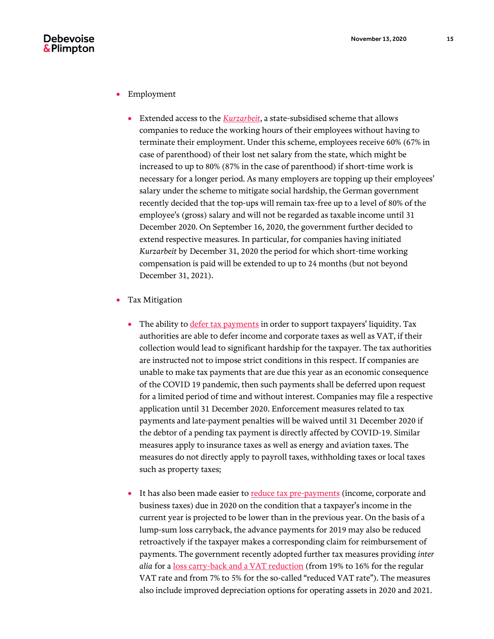

- Employment
	- Extended access to the *Kurzarbeit*, a state-subsidised scheme that allows companies to reduce the working hours of their employees without having to terminate their employment. Under this scheme, employees receive 60% (67% in case of parenthood) of their lost net salary from the state, which might be increased to up to 80% (87% in the case of parenthood) if short-time work is necessary for a longer period. As many employers are topping up their employees' salary under the scheme to mitigate social hardship, the German government recently decided that the top-ups will remain tax-free up to a level of 80% of the employee's (gross) salary and will not be regarded as taxable income until 31 December 2020. On September 16, 2020, the government further decided to extend respective measures. In particular, for companies having initiated *Kurzarbeit* by December 31, 2020 the period for which short-time working compensation is paid will be extended to up to 24 months (but not beyond December 31, 2021).
- Tax Mitigation
	- The ability to defer tax payments in order to support taxpayers' liquidity. Tax authorities are able to defer income and corporate taxes as well as VAT, if their collection would lead to significant hardship for the taxpayer. The tax authorities are instructed not to impose strict conditions in this respect. If companies are unable to make tax payments that are due this year as an economic consequence of the COVID 19 pandemic, then such payments shall be deferred upon request for a limited period of time and without interest. Companies may file a respective application until 31 December 2020. Enforcement measures related to tax payments and late-payment penalties will be waived until 31 December 2020 if the debtor of a pending tax payment is directly affected by COVID-19. Similar measures apply to insurance taxes as well as energy and aviation taxes. The measures do not directly apply to payroll taxes, withholding taxes or local taxes such as property taxes;
	- It has also been made easier to reduce tax pre-payments (income, corporate and business taxes) due in 2020 on the condition that a taxpayer's income in the current year is projected to be lower than in the previous year. On the basis of a lump-sum loss carryback, the advance payments for 2019 may also be reduced retroactively if the taxpayer makes a corresponding claim for reimbursement of payments. The government recently adopted further tax measures providing *inter alia* for a loss carry-back and a VAT reduction (from 19% to 16% for the regular VAT rate and from 7% to 5% for the so-called "reduced VAT rate"). The measures also include improved depreciation options for operating assets in 2020 and 2021.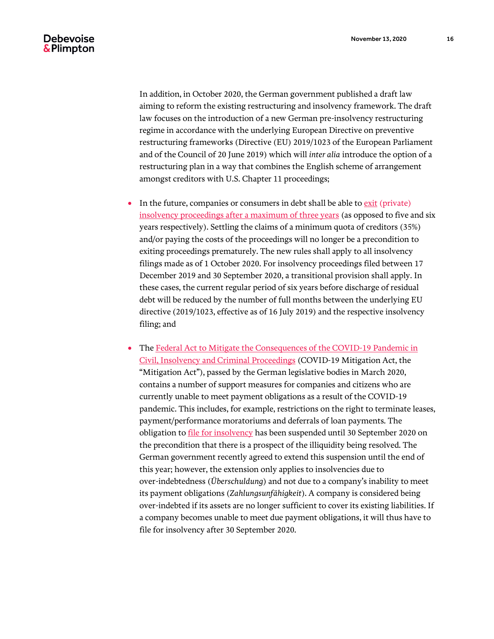In addition, in October 2020, the German government published a draft law aiming to reform the existing restructuring and insolvency framework. The draft law focuses on the introduction of a new German pre-insolvency restructuring regime in accordance with the underlying European Directive on preventive restructuring frameworks (Directive (EU) 2019/1023 of the European Parliament and of the Council of 20 June 2019) which will *inter alia* introduce the option of a restructuring plan in a way that combines the English scheme of arrangement amongst creditors with U.S. Chapter 11 proceedings;

- In the future, companies or consumers in debt shall be able to exit [\(private\)](https://www.bundesregierung.de/breg-en/search/restschuldbefreiungsverfahren-1765558)  [insolvency proceedings after a maximum of three years](https://www.bundesregierung.de/breg-en/search/restschuldbefreiungsverfahren-1765558) (as opposed to five and six years respectively). Settling the claims of a minimum quota of creditors (35%) and/or paying the costs of the proceedings will no longer be a precondition to exiting proceedings prematurely. The new rules shall apply to all insolvency filings made as of 1 October 2020. For insolvency proceedings filed between 17 December 2019 and 30 September 2020, a transitional provision shall apply. In these cases, the current regular period of six years before discharge of residual debt will be reduced by the number of full months between the underlying EU directive (2019/1023, effective as of 16 July 2019) and the respective insolvency filing; and
- The Federal Act to Mitigate the Consequences of the COVID-19 Pandemic in Civil, Insolvency and Criminal Proceedings (COVID-19 Mitigation Act, the "Mitigation Act"), passed by the German legislative bodies in March 2020, contains a number of support measures for companies and citizens who are currently unable to meet payment obligations as a result of the COVID-19 pandemic. This includes, for example, restrictions on the right to terminate leases, payment/performance moratoriums and deferrals of loan payments. The obligation t[o file for insolvency](https://www.debevoise.com/insights/publications/2020/03/covid-19-temporary-changes-to-german-insolvency) has been suspended until 30 September 2020 on the precondition that there is a prospect of the illiquidity being resolved. The German government recently agreed to extend this suspension until the end of this year; however, the extension only applies to insolvencies due to over-indebtedness (*Überschuldung*) and not due to a company's inability to meet its payment obligations (*Zahlungsunfähigkeit*). A company is considered being over-indebted if its assets are no longer sufficient to cover its existing liabilities. If a company becomes unable to meet due payment obligations, it will thus have to file for insolvency after 30 September 2020.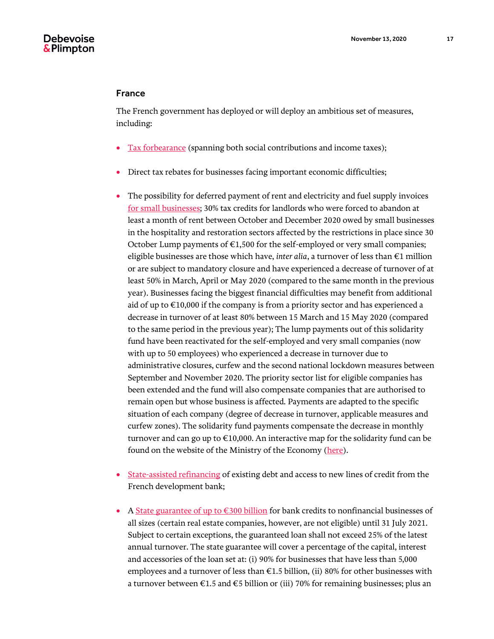#### <span id="page-16-0"></span>France

The French government has deployed or will deploy an ambitious set of measures, including:

- [Tax forbearance](https://www.economie.gouv.fr/coronavirus-soutien-entreprises) (spanning both social contributions and income taxes);
- Direct tax rebates for businesses facing important economic difficulties;
- The possibility for deferred payment of rent and electricity and fuel supply invoices [for small businesses;](https://www.economie.gouv.fr/coronavirus-soutien-entreprises) 30% tax credits for landlords who were forced to abandon at least a month of rent between October and December 2020 owed by small businesses in the hospitality and restoration sectors affected by the restrictions in place since 30 October Lump payments of  $\epsilon$ 1,500 for the self-employed or very small companies; eligible businesses are those which have, *inter alia*, a turnover of less than €1 million or are subject to mandatory closure and have experienced a decrease of turnover of at least 50% in March, April or May 2020 (compared to the same month in the previous year). Businesses facing the biggest financial difficulties may benefit from additional aid of up to  $\text{\textsterling}10,000$  if the company is from a priority sector and has experienced a decrease in turnover of at least 80% between 15 March and 15 May 2020 (compared to the same period in the previous year); The lump payments out of this solidarity fund have been reactivated for the self-employed and very small companies (now with up to 50 employees) who experienced a decrease in turnover due to administrative closures, curfew and the second national lockdown measures between September and November 2020. The priority sector list for eligible companies has been extended and the fund will also compensate companies that are authorised to remain open but whose business is affected. Payments are adapted to the specific situation of each company (degree of decrease in turnover, applicable measures and curfew zones). The solidarity fund payments compensate the decrease in monthly turnover and can go up to €10,000. An interactive map for the solidarity fund can be found on the website of the Ministry of the Economy [\(here\)](https://www.economie.gouv.fr/covid19-soutien-entreprises/aides-versees-fonds-solidarite).
- [State-assisted refinancing](https://www.economie.gouv.fr/coronavirus-soutien-entreprises) of existing debt and access to new lines of credit from the French development bank;
- A State guarantee of up to  $\epsilon$ 300 billion for bank credits to nonfinancial businesses of all sizes (certain real estate companies, however, are not eligible) until 31 July 2021. Subject to certain exceptions, the guaranteed loan shall not exceed 25% of the latest annual turnover. The state guarantee will cover a percentage of the capital, interest and accessories of the loan set at: (i) 90% for businesses that have less than 5,000 employees and a turnover of less than  $\epsilon$ 1.5 billion, (ii) 80% for other businesses with a turnover between  $\epsilon$ 1.5 and  $\epsilon$ 5 billion or (iii) 70% for remaining businesses; plus an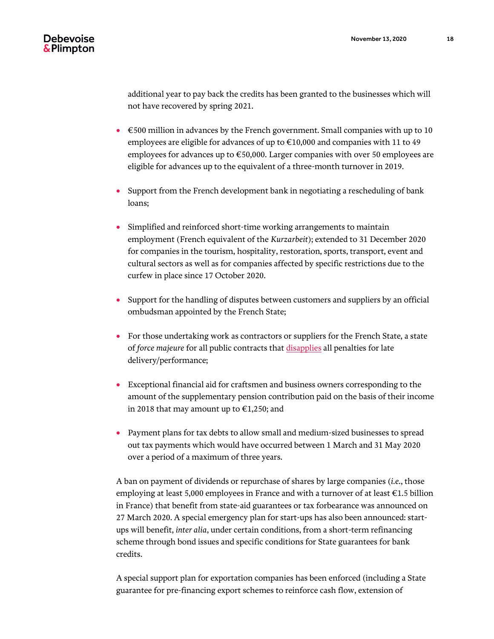additional year to pay back the credits has been granted to the businesses which will not have recovered by spring 2021.

- $\bullet$   $\in$  500 million in advances by the French government. Small companies with up to 10 employees are eligible for advances of up to €10,000 and companies with 11 to 49 employees for advances up to €50,000. Larger companies with over 50 employees are eligible for advances up to the equivalent of a three-month turnover in 2019.
- Support from the French development bank in negotiating a rescheduling of bank loans;
- Simplified and reinforced short-time working arrangements to maintain employment (French equivalent of the *Kurzarbeit*); extended to 31 December 2020 for companies in the tourism, hospitality, restoration, sports, transport, event and cultural sectors as well as for companies affected by specific restrictions due to the curfew in place since 17 October 2020.
- Support for the handling of disputes between customers and suppliers by an official ombudsman appointed by the French State;
- For those undertaking work as contractors or suppliers for the French State, a state of *force majeure* for all public contracts tha[t disapplies](https://www.economie.gouv.fr/coronavirus-soutien-entreprises) all penalties for late delivery/performance;
- Exceptional financial aid for craftsmen and business owners corresponding to the amount of the supplementary pension contribution paid on the basis of their income in 2018 that may amount up to €1,250; and
- Payment plans for tax debts to allow small and medium-sized businesses to spread out tax payments which would have occurred between 1 March and 31 May 2020 over a period of a maximum of three years.

A ban on payment of dividends or repurchase of shares by large companies (*i.e.*, those employing at least 5,000 employees in France and with a turnover of at least  $\epsilon$ 1.5 billion in France) that benefit from state-aid guarantees or tax forbearance was announced on 27 March 2020. A special emergency plan for start-ups has also been announced: startups will benefit, *inter alia*, under certain conditions, from a short-term refinancing scheme through bond issues and specific conditions for State guarantees for bank credits.

A special support plan for exportation companies has been enforced (including a State guarantee for pre-financing export schemes to reinforce cash flow, extension of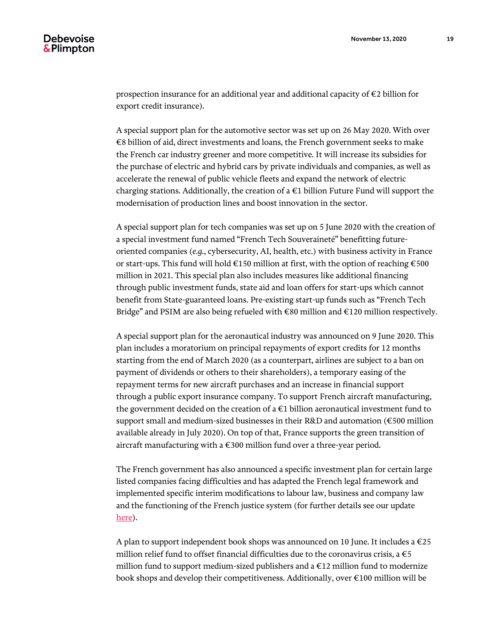prospection insurance for an additional year and additional capacity of  $\epsilon$ 2 billion for export credit insurance).

A special support plan for the automotive sector was set up on 26 May 2020. With over €8 billion of aid, direct investments and loans, the French government seeks to make the French car industry greener and more competitive. It will increase its subsidies for the purchase of electric and hybrid cars by private individuals and companies, as well as accelerate the renewal of public vehicle fleets and expand the network of electric charging stations. Additionally, the creation of a  $\epsilon$ 1 billion Future Fund will support the modernisation of production lines and boost innovation in the sector.

A special support plan for tech companies was set up on 5 June 2020 with the creation of a special investment fund named "French Tech Souveraineté" benefitting futureoriented companies (*e.g.*, cybersecurity, AI, health, etc.) with business activity in France or start-ups. This fund will hold  $\epsilon$ 150 million at first, with the option of reaching  $\epsilon$ 500 million in 2021. This special plan also includes measures like additional financing through public investment funds, state aid and loan offers for start-ups which cannot benefit from State-guaranteed loans. Pre-existing start-up funds such as "French Tech Bridge" and PSIM are also being refueled with  $\epsilon$ 80 million and  $\epsilon$ 120 million respectively.

A special support plan for the aeronautical industry was announced on 9 June 2020. This plan includes a moratorium on principal repayments of export credits for 12 months starting from the end of March 2020 (as a counterpart, airlines are subject to a ban on payment of dividends or others to their shareholders), a temporary easing of the repayment terms for new aircraft purchases and an increase in financial support through a public export insurance company. To support French aircraft manufacturing, the government decided on the creation of a  $\epsilon$ 1 billion aeronautical investment fund to support small and medium-sized businesses in their R&D and automation (€500 million available already in July 2020). On top of that, France supports the green transition of aircraft manufacturing with a €300 million fund over a three-year period.

The French government has also announced a specific investment plan for certain large listed companies facing difficulties and has adapted the French legal framework and implemented specific interim modifications to labour law, business and company law and the functioning of the French justice system (for further details see our update [here\)](https://www.debevoise.com/insights/publications/2020/03/french-government-passes-ordinances-to-adapt).

A plan to support independent book shops was announced on 10 June. It includes a  $\epsilon$ 25 million relief fund to offset financial difficulties due to the coronavirus crisis, a  $\epsilon$ 5 million fund to support medium-sized publishers and a  $\epsilon$ 12 million fund to modernize book shops and develop their competitiveness. Additionally, over €100 million will be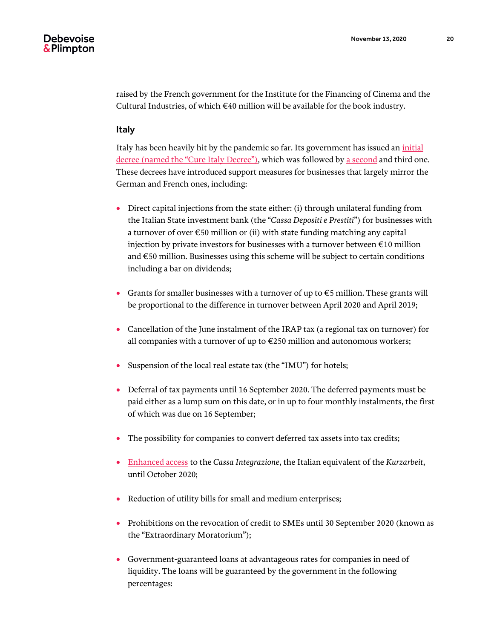raised by the French government for the Institute for the Financing of Cinema and the Cultural Industries, of which  $\epsilon$ 40 million will be available for the book industry.

#### <span id="page-19-0"></span>Italy

Italy has been heavily hit by the pandemic so far. Its government has issued an *initial* [decree \(named the "Cure Italy Decree"\)](https://www.gazzettaufficiale.it/eli/gu/2020/03/17/70/sg/pdf), which was followed b[y a second](https://www.mise.gov.it/index.php/it/per-i-media/notizie/2040945-decreto-liquidita-potenziato-il-fondo-di-garanzia-per-le-pmi) and third one. These decrees have introduced support measures for businesses that largely mirror the German and French ones, including:

- Direct capital injections from the state either: (i) through unilateral funding from the Italian State investment bank (the "*Cassa Depositi e Prestiti*") for businesses with a turnover of over €50 million or (ii) with state funding matching any capital injection by private investors for businesses with a turnover between  $\epsilon$ 10 million and €50 million. Businesses using this scheme will be subject to certain conditions including a bar on dividends;
- Grants for smaller businesses with a turnover of up to  $\epsilon$ 5 million. These grants will be proportional to the difference in turnover between April 2020 and April 2019;
- Cancellation of the June instalment of the IRAP tax (a regional tax on turnover) for all companies with a turnover of up to  $\epsilon$ 250 million and autonomous workers;
- Suspension of the local real estate tax (the "IMU") for hotels;
- Deferral of tax payments until 16 September 2020. The deferred payments must be paid either as a lump sum on this date, or in up to four monthly instalments, the first of which was due on 16 September;
- The possibility for companies to convert deferred tax assets into tax credits;
- [Enhanced access](https://www.gazzettaufficiale.it/eli/gu/2020/03/17/70/sg/pdf) to the *Cassa Integrazione*, the Italian equivalent of the *Kurzarbeit*, until October 2020;
- Reduction of utility bills for small and medium enterprises;
- Prohibitions on the revocation of credit to SMEs until 30 September 2020 (known as the "Extraordinary Moratorium");
- Government-guaranteed loans at advantageous rates for companies in need of liquidity. The loans will be guaranteed by the government in the following percentages: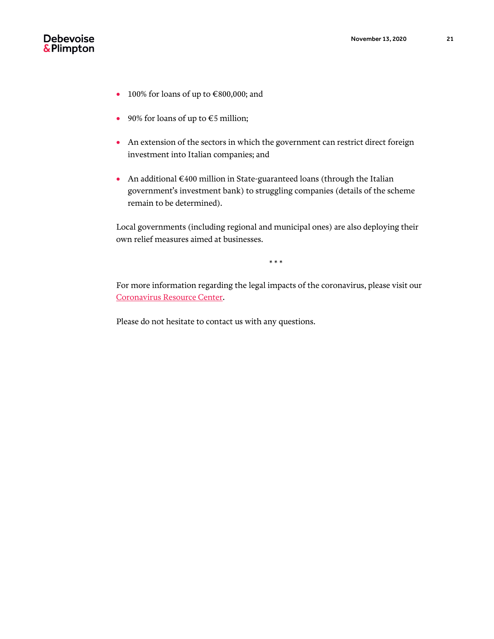

- 100% for loans of up to  $€800,000$ ; and
- $\cdot$  90% for loans of up to €5 million;
- An extension of the sectors in which the government can restrict direct foreign investment into Italian companies; and
- An additional €400 million in State-guaranteed loans (through the Italian government's investment bank) to struggling companies (details of the scheme remain to be determined).

Local governments (including regional and municipal ones) are also deploying their own relief measures aimed at businesses.

\* \* \*

For more information regarding the legal impacts of the coronavirus, please visit our [Coronavirus Resource Center.](https://www.debevoise.com/topics/covid19checklist)

Please do not hesitate to contact us with any questions.